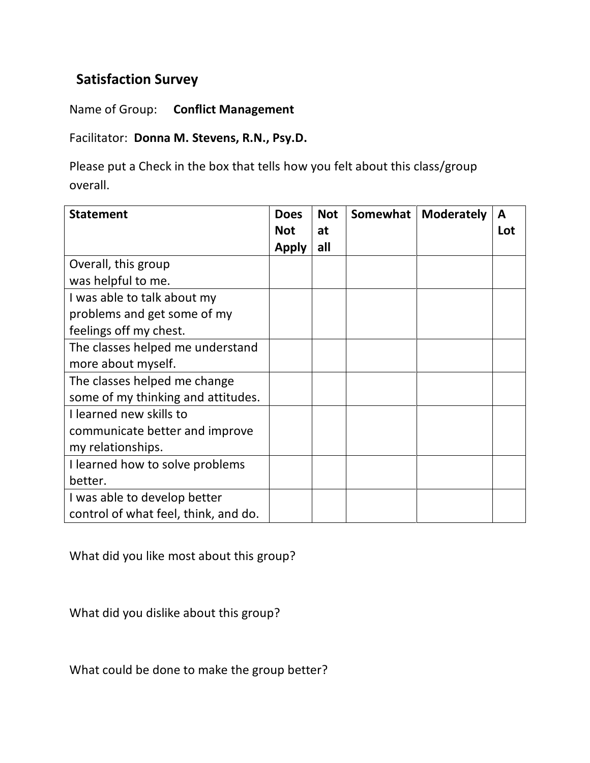## **Satisfaction Survey**

Name of Group: **Conflict Management**

Facilitator: **Donna M. Stevens, R.N., Psy.D.**

Please put a Check in the box that tells how you felt about this class/group overall.

| <b>Statement</b>                     | <b>Does</b>  | <b>Not</b> | Somewhat | <b>Moderately</b> | A   |
|--------------------------------------|--------------|------------|----------|-------------------|-----|
|                                      | <b>Not</b>   | at         |          |                   | Lot |
|                                      | <b>Apply</b> | all        |          |                   |     |
| Overall, this group                  |              |            |          |                   |     |
| was helpful to me.                   |              |            |          |                   |     |
| I was able to talk about my          |              |            |          |                   |     |
| problems and get some of my          |              |            |          |                   |     |
| feelings off my chest.               |              |            |          |                   |     |
| The classes helped me understand     |              |            |          |                   |     |
| more about myself.                   |              |            |          |                   |     |
| The classes helped me change         |              |            |          |                   |     |
| some of my thinking and attitudes.   |              |            |          |                   |     |
| I learned new skills to              |              |            |          |                   |     |
| communicate better and improve       |              |            |          |                   |     |
| my relationships.                    |              |            |          |                   |     |
| I learned how to solve problems      |              |            |          |                   |     |
| better.                              |              |            |          |                   |     |
| I was able to develop better         |              |            |          |                   |     |
| control of what feel, think, and do. |              |            |          |                   |     |

What did you like most about this group?

What did you dislike about this group?

What could be done to make the group better?